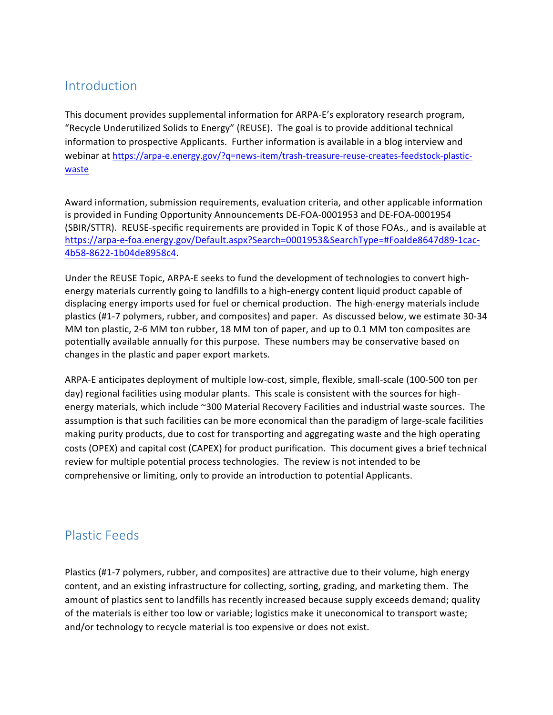## Introduction

This document provides supplemental information for ARPA-E's exploratory research program, "Recycle Underutilized Solids to Energy" (REUSE). The goal is to provide additional technical information to prospective Applicants. Further information is available in a blog interview and webinar at https://arpa-e.energy.gov/?q=news-item/trash-treasure-reuse-creates-feedstock-plastic[waste](https://arpa-e.energy.gov/?q=news-item/trash-treasure-reuse-creates-feedstock-plastic-waste)

Award information, submission requirements, evaluation criteria, and other applicable information is provided in Funding Opportunity Announcements DE-FOA-0001953 and DE-FOA-0001954 (SBIR/STTR). REUSE-specific requirements are provided in Topic K of those FOAs., and is available at [https://arpa-e-foa.energy.gov/Default.aspx?Search=0001953&SearchType=#FoaIde8647d89-1cac](https://arpa-e-foa.energy.gov/Default.aspx?Search=0001953&SearchType=#FoaIde8647d89-1cac-4b58-8622-1b04de8958c4)-[4b58-8622-1b04de8958c4](https://arpa-e-foa.energy.gov/Default.aspx?Search=0001953&SearchType=#FoaIde8647d89-1cac-4b58-8622-1b04de8958c4).

Under the REUSE Topic, ARPA-E seeks to fund the development of technologies to convert highenergy materials currently going to landfills to a high-energy content liquid product capable of displacing energy imports used for fuel or chemical production. The high-energy materials include plastics (#1-7 polymers, rubber, and composites) and paper. As discussed below, we estimate 30-34 MM ton plastic, 2-6 MM ton rubber, 18 MM ton of paper, and up to 0.1 MM ton composites are potentially available annually for this purpose. These numbers may be conservative based on changes in the plastic and paper export markets.

ARPA-E anticipates deployment of multiple low-cost, simple, flexible, small-scale (100-500 ton per day) regional facilities using modular plants. This scale is consistent with the sources for highenergy materials, which include ~300 Material Recovery Facilities and industrial waste sources. The assumption is that such facilities can be more economical than the paradigm of large-scale facilities making purity products, due to cost for transporting and aggregating waste and the high operating costs (OPEX) and capital cost (CAPEX) for product purification. This document gives a brief technical review for multiple potential process technologies. The review is not intended to be comprehensive or limiting, only to provide an introduction to potential Applicants.

## Plastic Feeds

Plastics (#1-7 polymers, rubber, and composites) are attractive due to their volume, high energy content, and an existing infrastructure for collecting, sorting, grading, and marketing them. The amount of plastics sent to landfills has recently increased because supply exceeds demand; quality of the materials is either too low or variable; logistics make it uneconomical to transport waste; and/or technology to recycle material is too expensive or does not exist.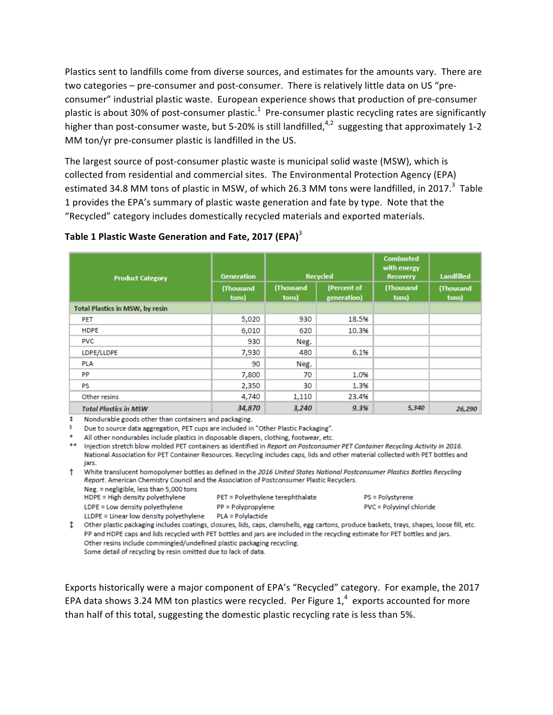Plastics sent to landfills come from diverse sources, and estimates for the amounts vary. There are two categories – pre-consumer and post-consumer. There is relatively little data on US "preconsumer" industrial plastic waste. European experience shows that production of pre-consumer plastic is about 30% of post-consumer plastic.<sup>1</sup> Pre-consumer plastic recycling rates are significantly higher than post-consumer waste, but 5-20% is still landfilled,<sup>4,2</sup> suggesting that approximately 1-2 MM ton/yr pre-consumer plastic is landfilled in the US.

The largest source of post-consumer plastic waste is municipal solid waste (MSW), which is collected from residential and commercial sites. The Environmental Protection Agency (EPA) estimated 34.8 MM tons of plastic in MSW, of which 26.3 MM tons were landfilled, in 2017.<sup>3</sup> Table 1 provides the EPA's summary of plastic waste generation and fate by type. Note that the "Recycled" category includes domestically recycled materials and exported materials.

#### **Table 1 Plastic Waste Generation and Fate, 2017 (EPA)**<sup>3</sup>

| <b>Product Category</b>         | <b>Generation</b>  | <b>Recycled</b>    |                            | <b>Combusted</b><br>with energy<br><b>Recovery</b> | <b>Landfilled</b>  |
|---------------------------------|--------------------|--------------------|----------------------------|----------------------------------------------------|--------------------|
|                                 | (Thousand<br>tons) | (Thousand<br>tons) | (Percent of<br>generation) | (Thousand<br>tons)                                 | (Thousand<br>tons) |
| Total Plastics in MSW, by resin |                    |                    |                            |                                                    |                    |
| <b>PET</b>                      | 5,020              | 930                | 18.5%                      |                                                    |                    |
| <b>HDPE</b>                     | 6,010              | 620                | 10.3%                      |                                                    |                    |
| <b>PVC</b>                      | 930                | Neg.               |                            |                                                    |                    |
| LDPE/LLDPE                      | 7,930              | 480                | 6.1%                       |                                                    |                    |
| <b>PLA</b>                      | 90                 | Neg.               |                            |                                                    |                    |
| <b>PP</b>                       | 7,800              | 70                 | 1.0%                       |                                                    |                    |
| <b>PS</b>                       | 2,350              | 30                 | 1.3%                       |                                                    |                    |
| Other resins                    | 4,740              | 1,110              | 23.4%                      |                                                    |                    |
| <b>Total Plastics in MSW</b>    | 34,870             | 3,240              | 9.3%                       | 5,340                                              | 26,290             |

# Nondurable goods other than containers and packaging.

<sup>5</sup> Due to source data aggregation, PET cups are included in "Other Plastic Packaging".

All other nondurables include plastics in disposable diapers, clothing, footwear, etc.

\*\* Injection stretch blow molded PET containers as identified in Report on Postconsumer PET Container Recycling Activity in 2016. National Association for PET Container Resources. Recycling includes caps, lids and other material collected with PET bottles and jars.

† White translucent homopolymer bottles as defined in the 2016 United States National Postconsumer Plastics Bottles Recycling Report. American Chemistry Council and the Association of Postconsumer Plastic Recyclers.

Neg. = negligible, less than 5,000 tons HDPE = High density polyethylene LDPE = Low density polyethylene

PET = Polyethylene terephthalate PP = Polypropylene

PS = Polystyrene PVC = Polyvinyl chloride

LLDPE = Linear low density polyethylene PLA = Polylactide

<sup>1</sup> Other plastic packaging includes coatings, closures, lids, caps, clamshells, egg cartons, produce baskets, trays, shapes, loose fill, etc. PP and HDPE caps and lids recycled with PET bottles and jars are included in the recycling estimate for PET bottles and jars. Other resins include commingled/undefined plastic packaging recycling. Some detail of recycling by resin omitted due to lack of data.

Exports historically were a major component of EPA's "Recycled" category. For example, the 2017 EPA data shows 3.24 MM ton plastics were recycled. Per Figure  $1,^4$  exports accounted for more than half of this total, suggesting the domestic plastic recycling rate is less than 5%.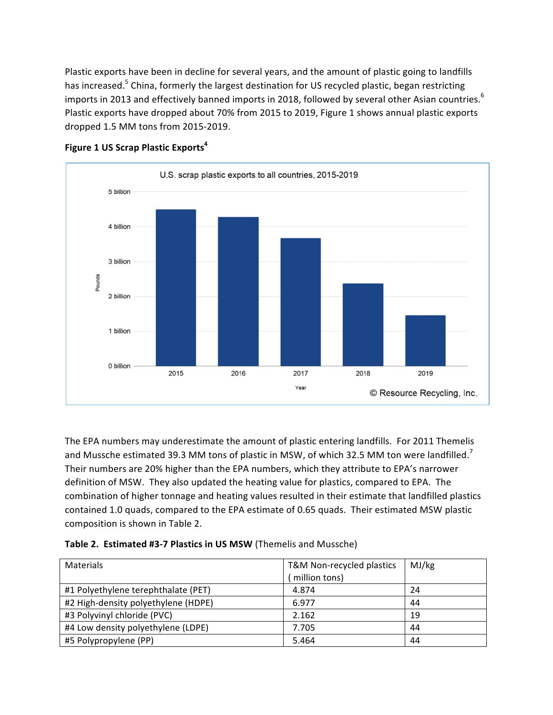Plastic exports have been in decline for several years, and the amount of plastic going to landfills has increased.<sup>5</sup> China, formerly the largest destination for US recycled plastic, began restricting imports in 2013 and effectively banned imports in 2018, followed by several other Asian countries.  $^6$ Plastic exports have dropped about 70% from 2015 to 2019, Figure 1 shows annual plastic exports dropped 1.5 MM tons from 2015-2019.



#### **Figure 1 US Scrap Plastic Exports<sup>4</sup>**

The EPA numbers may underestimate the amount of plastic entering landfills. For 2011 Themelis and Mussche estimated 39.3 MM tons of plastic in MSW, of which 32.5 MM ton were landfilled.<sup>7</sup> Their numbers are 20% higher than the EPA numbers, which they attribute to EPA's narrower definition of MSW. They also updated the heating value for plastics, compared to EPA. The combination of higher tonnage and heating values resulted in their estimate that landfilled plastics contained 1.0 quads, compared to the EPA estimate of 0.65 quads. Their estimated MSW plastic composition is shown in Table 2.

|  | Table 2. Estimated #3-7 Plastics in US MSW (Themelis and Mussche) |  |  |  |
|--|-------------------------------------------------------------------|--|--|--|
|--|-------------------------------------------------------------------|--|--|--|

| Materials                           | T&M Non-recycled plastics<br>million tons) | MJ/kg |
|-------------------------------------|--------------------------------------------|-------|
| #1 Polyethylene terephthalate (PET) | 4.874                                      | 24    |
| #2 High-density polyethylene (HDPE) | 6.977                                      | 44    |
| #3 Polyvinyl chloride (PVC)         | 2.162                                      | 19    |
| #4 Low density polyethylene (LDPE)  | 7.705                                      | 44    |
| #5 Polypropylene (PP)               | 5.464                                      | 44    |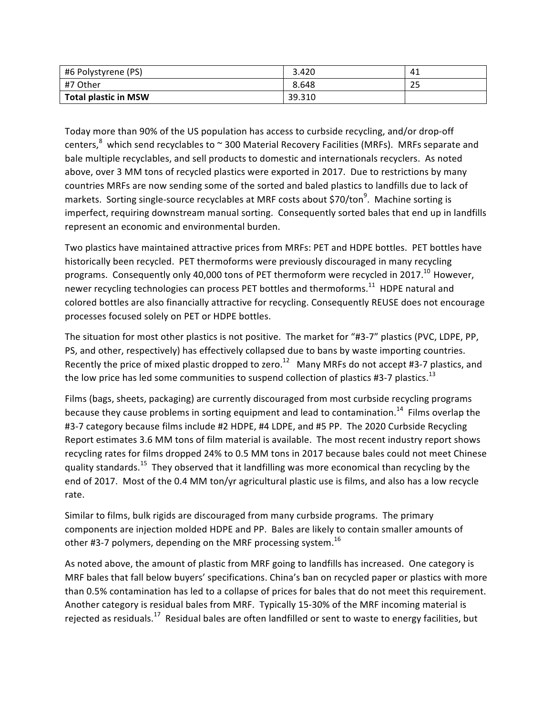| #6 Polystyrene (PS)         | 3.420  | 41       |
|-----------------------------|--------|----------|
| ∣#7 Other                   | 8.648  | つに<br>25 |
| <b>Total plastic in MSW</b> | 39.310 |          |

Today more than 90% of the US population has access to curbside recycling, and/or drop-off centers,<sup>8</sup> which send recyclables to  $\sim$  300 Material Recovery Facilities (MRFs). MRFs separate and bale multiple recyclables, and sell products to domestic and internationals recyclers. As noted above, over 3 MM tons of recycled plastics were exported in 2017. Due to restrictions by many countries MRFs are now sending some of the sorted and baled plastics to landfills due to lack of markets. Sorting single-source recyclables at MRF costs about \$70/ton<sup>9</sup>. Machine sorting is imperfect, requiring downstream manual sorting. Consequently sorted bales that end up in landfills represent an economic and environmental burden.

Two plastics have maintained attractive prices from MRFs: PET and HDPE bottles. PET bottles have historically been recycled. PET thermoforms were previously discouraged in many recycling programs. Consequently only 40,000 tons of PET thermoform were recycled in 2017.<sup>10</sup> However, newer recycling technologies can process PET bottles and thermoforms.<sup>11</sup> HDPE natural and colored bottles are also financially attractive for recycling. Consequently REUSE does not encourage processes focused solely on PET or HDPE bottles.

The situation for most other plastics is not positive. The market for "#3-7" plastics (PVC, LDPE, PP, PS, and other, respectively) has effectively collapsed due to bans by waste importing countries. Recently the price of mixed plastic dropped to zero.<sup>12</sup> Many MRFs do not accept #3-7 plastics, and the low price has led some communities to suspend collection of plastics #3-7 plastics.<sup>13</sup>

Films (bags, sheets, packaging) are currently discouraged from most curbside recycling programs because they cause problems in sorting equipment and lead to contamination.<sup>14</sup> Films overlap the #3-7 category because films include #2 HDPE, #4 LDPE, and #5 PP. The 2020 Curbside Recycling Report estimates 3.6 MM tons of film material is available. The most recent industry report shows recycling rates for films dropped 24% to 0.5 MM tons in 2017 because bales could not meet Chinese quality standards.<sup>15</sup> They observed that it landfilling was more economical than recycling by the end of 2017. Most of the 0.4 MM ton/yr agricultural plastic use is films, and also has a low recycle rate.

Similar to films, bulk rigids are discouraged from many curbside programs. The primary components are injection molded HDPE and PP. Bales are likely to contain smaller amounts of other #3-7 polymers, depending on the MRF processing system.<sup>16</sup>

As noted above, the amount of plastic from MRF going to landfills has increased. One category is MRF bales that fall below buyers' specifications. China's ban on recycled paper or plastics with more than 0.5% contamination has led to a collapse of prices for bales that do not meet this requirement. Another category is residual bales from MRF. Typically 15-30% of the MRF incoming material is rejected as residuals.<sup>17</sup> Residual bales are often landfilled or sent to waste to energy facilities, but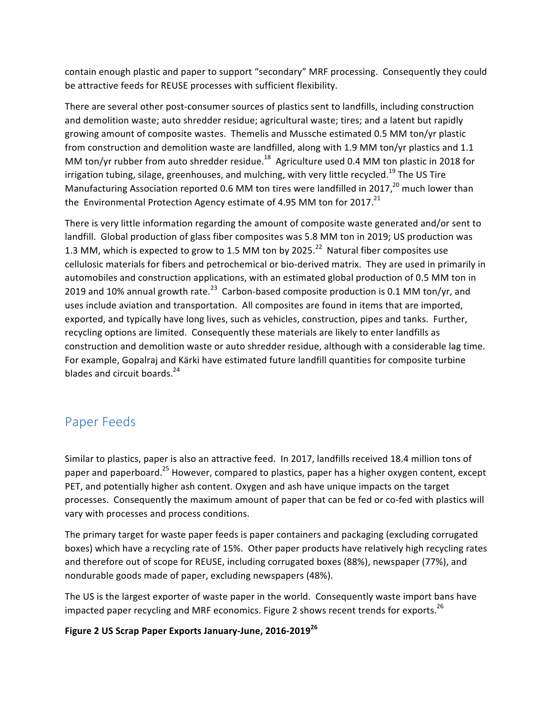contain enough plastic and paper to support "secondary" MRF processing. Consequently they could be attractive feeds for REUSE processes with sufficient flexibility.

There are several other post-consumer sources of plastics sent to landfills, including construction and demolition waste; auto shredder residue; agricultural waste; tires; and a latent but rapidly growing amount of composite wastes. Themelis and Mussche estimated 0.5 MM ton/yr plastic from construction and demolition waste are landfilled, along with 1.9 MM ton/yr plastics and 1.1 MM ton/yr rubber from auto shredder residue.<sup>18</sup> Agriculture used 0.4 MM ton plastic in 2018 for irrigation tubing, silage, greenhouses, and mulching, with very little recycled.<sup>19</sup> The US Tire Manufacturing Association reported 0.6 MM ton tires were landfilled in 2017,<sup>20</sup> much lower than the Environmental Protection Agency estimate of 4.95 MM ton for 2017.<sup>21</sup>

There is very little information regarding the amount of composite waste generated and/or sent to landfill. Global production of glass fiber composites was 5.8 MM ton in 2019; US production was 1.3 MM, which is expected to grow to 1.5 MM ton by 2025.<sup>22</sup> Natural fiber composites use cellulosic materials for fibers and petrochemical or bio-derived matrix. They are used in primarily in automobiles and construction applications, with an estimated global production of 0.5 MM ton in 2019 and 10% annual growth rate.<sup>23</sup> Carbon-based composite production is 0.1 MM ton/yr, and uses include aviation and transportation. All composites are found in items that are imported, exported, and typically have long lives, such as vehicles, construction, pipes and tanks. Further, recycling options are limited. Consequently these materials are likely to enter landfills as construction and demolition waste or auto shredder residue, although with a considerable lag time. For example, Gopalraj and Kärki have estimated future landfill quantities for composite turbine blades and circuit boards. $^{24}$ 

### Paper Feeds

Similar to plastics, paper is also an attractive feed. In 2017, landfills received 18.4 million tons of paper and paperboard.<sup>25</sup> However, compared to plastics, paper has a higher oxygen content, except PET, and potentially higher ash content. Oxygen and ash have unique impacts on the target processes. Consequently the maximum amount of paper that can be fed or co-fed with plastics will vary with processes and process conditions.

The primary target for waste paper feeds is paper containers and packaging (excluding corrugated boxes) which have a recycling rate of 15%. Other paper products have relatively high recycling rates and therefore out of scope for REUSE, including corrugated boxes (88%), newspaper (77%), and nondurable goods made of paper, excluding newspapers (48%).

The US is the largest exporter of waste paper in the world. Consequently waste import bans have impacted paper recycling and MRF economics. Figure 2 shows recent trends for exports.<sup>26</sup>

### **Figure 2 US Scrap Paper Exports January-June, 2016-2019<sup>26</sup>**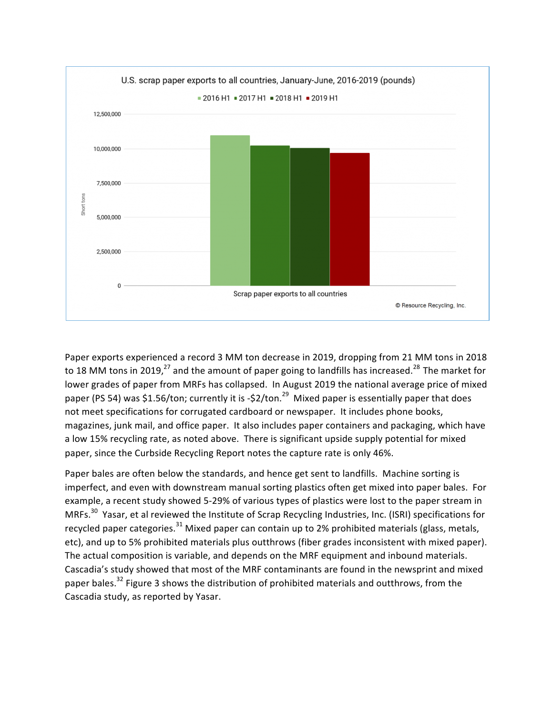

Paper exports experienced a record 3 MM ton decrease in 2019, dropping from 21 MM tons in 2018 to 18 MM tons in 2019,<sup>27</sup> and the amount of paper going to landfills has increased.<sup>28</sup> The market for lower grades of paper from MRFs has collapsed. In August 2019 the national average price of mixed paper (PS 54) was \$1.56/ton; currently it is -\$2/ton.<sup>29</sup> Mixed paper is essentially paper that does not meet specifications for corrugated cardboard or newspaper. It includes phone books, magazines, junk mail, and office paper. It also includes paper containers and packaging, which have a low 15% recycling rate, as noted above. There is significant upside supply potential for mixed paper, since the Curbside Recycling Report notes the capture rate is only 46%.

Paper bales are often below the standards, and hence get sent to landfills. Machine sorting is imperfect, and even with downstream manual sorting plastics often get mixed into paper bales. For example, a recent study showed 5-29% of various types of plastics were lost to the paper stream in MRFs.<sup>30</sup> Yasar, et al reviewed the Institute of Scrap Recycling Industries, Inc. (ISRI) specifications for recycled paper categories.<sup>31</sup> Mixed paper can contain up to 2% prohibited materials (glass, metals, etc), and up to 5% prohibited materials plus outthrows (fiber grades inconsistent with mixed paper). The actual composition is variable, and depends on the MRF equipment and inbound materials. Cascadia's study showed that most of the MRF contaminants are found in the newsprint and mixed paper bales.<sup>32</sup> Figure 3 shows the distribution of prohibited materials and outthrows, from the Cascadia study, as reported by Yasar.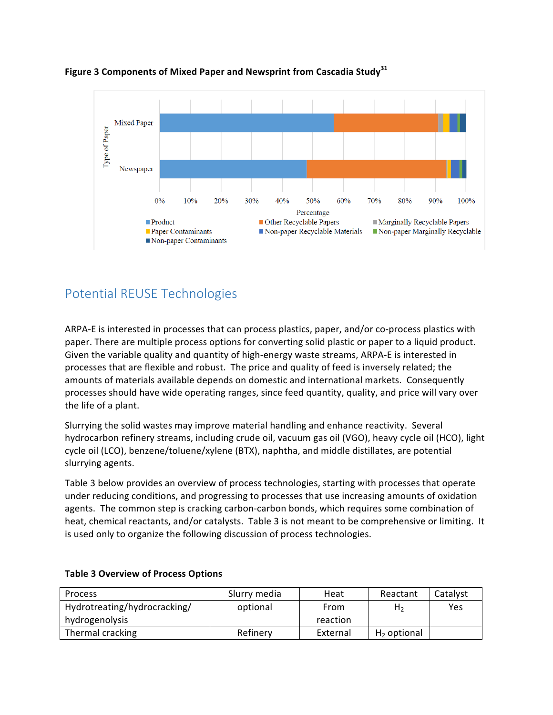

Figure 3 Components of Mixed Paper and Newsprint from Cascadia Study<sup>31</sup>

# Potential REUSE Technologies

ARPA-E is interested in processes that can process plastics, paper, and/or co-process plastics with paper. There are multiple process options for converting solid plastic or paper to a liquid product. Given the variable quality and quantity of high-energy waste streams, ARPA-E is interested in processes that are flexible and robust. The price and quality of feed is inversely related; the amounts of materials available depends on domestic and international markets. Consequently processes should have wide operating ranges, since feed quantity, quality, and price will vary over the life of a plant.

Slurrying the solid wastes may improve material handling and enhance reactivity. Several hydrocarbon refinery streams, including crude oil, vacuum gas oil (VGO), heavy cycle oil (HCO), light cycle oil (LCO), benzene/toluene/xylene (BTX), naphtha, and middle distillates, are potential slurrying agents.

Table 3 below provides an overview of process technologies, starting with processes that operate under reducing conditions, and progressing to processes that use increasing amounts of oxidation agents. The common step is cracking carbon-carbon bonds, which requires some combination of heat, chemical reactants, and/or catalysts. Table 3 is not meant to be comprehensive or limiting. It is used only to organize the following discussion of process technologies.

| <b>Process</b>               | Slurry media | Heat     | Reactant       | Catalyst |
|------------------------------|--------------|----------|----------------|----------|
| Hydrotreating/hydrocracking/ | optional     | From     | H <sub>2</sub> | Yes      |
| hydrogenolysis               |              | reaction |                |          |
| Thermal cracking             | Refinery     | External | $H2$ optional  |          |

#### **Table 3 Overview of Process Options**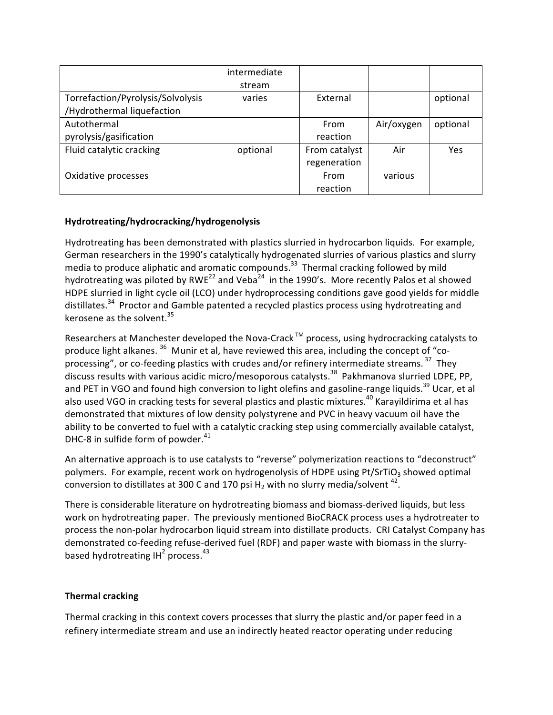|                                   | intermediate |               |            |          |
|-----------------------------------|--------------|---------------|------------|----------|
|                                   | stream       |               |            |          |
| Torrefaction/Pyrolysis/Solvolysis | varies       | External      |            | optional |
| /Hydrothermal liquefaction        |              |               |            |          |
| Autothermal                       |              | From          | Air/oxygen | optional |
| pyrolysis/gasification            |              | reaction      |            |          |
| Fluid catalytic cracking          | optional     | From catalyst | Air        | Yes      |
|                                   |              | regeneration  |            |          |
| Oxidative processes               |              | From          | various    |          |
|                                   |              | reaction      |            |          |

#### **Hydrotreating/hydrocracking/hydrogenolysis**

Hydrotreating has been demonstrated with plastics slurried in hydrocarbon liquids. For example, German researchers in the 1990's catalytically hydrogenated slurries of various plastics and slurry media to produce aliphatic and aromatic compounds.<sup>33</sup> Thermal cracking followed by mild hydrotreating was piloted by RWE<sup>22</sup> and Veba<sup>24</sup> in the 1990's. More recently Palos et al showed HDPE slurried in light cycle oil (LCO) under hydroprocessing conditions gave good yields for middle distillates.<sup>34</sup> Proctor and Gamble patented a recycled plastics process using hydrotreating and kerosene as the solvent.<sup>35</sup>

Researchers at Manchester developed the Nova-Crack<sup>™</sup> process, using hydrocracking catalysts to produce light alkanes.  $36$  Munir et al, have reviewed this area, including the concept of "coprocessing", or co-feeding plastics with crudes and/or refinery intermediate streams.  $37$  They discuss results with various acidic micro/mesoporous catalysts.<sup>38</sup> Pakhmanova slurried LDPE, PP, and PET in VGO and found high conversion to light olefins and gasoline-range liquids.<sup>39</sup> Ucar, et al also used VGO in cracking tests for several plastics and plastic mixtures.<sup>40</sup> Karayildirima et al has demonstrated that mixtures of low density polystyrene and PVC in heavy vacuum oil have the ability to be converted to fuel with a catalytic cracking step using commercially available catalyst, DHC-8 in sulfide form of powder. $41$ 

An alternative approach is to use catalysts to "reverse" polymerization reactions to "deconstruct" polymers. For example, recent work on hydrogenolysis of HDPE using Pt/SrTiO<sub>3</sub> showed optimal conversion to distillates at 300 C and 170 psi H<sub>2</sub> with no slurry media/solvent <sup>42</sup>.

There is considerable literature on hydrotreating biomass and biomass-derived liquids, but less work on hydrotreating paper. The previously mentioned BioCRACK process uses a hydrotreater to process the non-polar hydrocarbon liquid stream into distillate products. CRI Catalyst Company has demonstrated co-feeding refuse-derived fuel (RDF) and paper waste with biomass in the slurrybased hydrotreating  $IH^2$  process.<sup>43</sup>

#### **Thermal cracking**

Thermal cracking in this context covers processes that slurry the plastic and/or paper feed in a refinery intermediate stream and use an indirectly heated reactor operating under reducing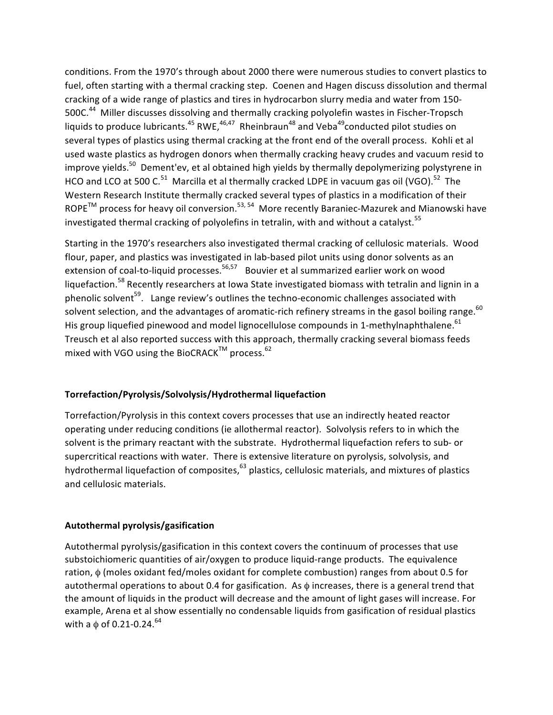conditions. From the 1970's through about 2000 there were numerous studies to convert plastics to fuel, often starting with a thermal cracking step. Coenen and Hagen discuss dissolution and thermal cracking of a wide range of plastics and tires in hydrocarbon slurry media and water from 150-500C.<sup>44</sup> Miller discusses dissolving and thermally cracking polyolefin wastes in Fischer-Tropsch liquids to produce lubricants.<sup>45</sup> RWE,<sup>46,47</sup> Rheinbraun<sup>48</sup> and Veba<sup>49</sup>conducted pilot studies on several types of plastics using thermal cracking at the front end of the overall process. Kohli et al used waste plastics as hydrogen donors when thermally cracking heavy crudes and vacuum resid to improve yields.<sup>50</sup> Dement'ev, et al obtained high yields by thermally depolymerizing polystyrene in HCO and LCO at 500 C.<sup>51</sup> Marcilla et al thermally cracked LDPE in vacuum gas oil (VGO).<sup>52</sup> The Western Research Institute thermally cracked several types of plastics in a modification of their  $ROPE^{TM}$  process for heavy oil conversion.<sup>53, 54</sup> More recently Baraniec-Mazurek and Mianowski have investigated thermal cracking of polyolefins in tetralin, with and without a catalyst.<sup>55</sup>

Starting in the 1970's researchers also investigated thermal cracking of cellulosic materials. Wood flour, paper, and plastics was investigated in lab-based pilot units using donor solvents as an extension of coal-to-liquid processes.<sup>56,57</sup> Bouvier et al summarized earlier work on wood liquefaction.<sup>58</sup> Recently researchers at lowa State investigated biomass with tetralin and lignin in a phenolic solvent<sup>59</sup>. Lange review's outlines the techno-economic challenges associated with solvent selection, and the advantages of aromatic-rich refinery streams in the gasol boiling range.<sup>60</sup> His group liquefied pinewood and model lignocellulose compounds in 1-methylnaphthalene.  $^{61}$ Treusch et al also reported success with this approach, thermally cracking several biomass feeds mixed with VGO using the BioCRACK<sup>TM</sup> process.<sup>62</sup>

#### **Torrefaction/Pyrolysis/Solvolysis/Hydrothermal liquefaction**

Torrefaction/Pyrolysis in this context covers processes that use an indirectly heated reactor operating under reducing conditions (ie allothermal reactor). Solvolysis refers to in which the solvent is the primary reactant with the substrate. Hydrothermal liquefaction refers to sub- or supercritical reactions with water. There is extensive literature on pyrolysis, solvolysis, and hydrothermal liquefaction of composites,<sup>63</sup> plastics, cellulosic materials, and mixtures of plastics and cellulosic materials.

#### **Autothermal pyrolysis/gasification**

Autothermal pyrolysis/gasification in this context covers the continuum of processes that use substoichiomeric quantities of air/oxygen to produce liquid-range products. The equivalence ration,  $\phi$  (moles oxidant fed/moles oxidant for complete combustion) ranges from about 0.5 for autothermal operations to about 0.4 for gasification. As  $\phi$  increases, there is a general trend that the amount of liquids in the product will decrease and the amount of light gases will increase. For example, Arena et al show essentially no condensable liquids from gasification of residual plastics with a  $\phi$  of 0.21-0.24.<sup>64</sup>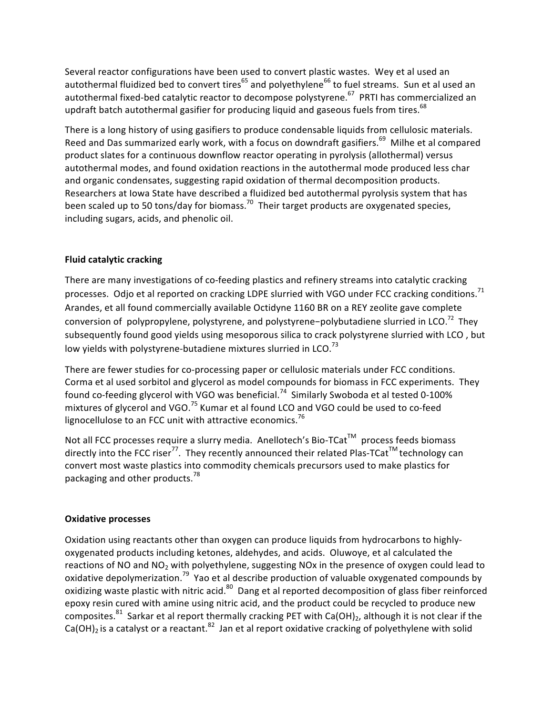Several reactor configurations have been used to convert plastic wastes. Wey et al used an autothermal fluidized bed to convert tires<sup>65</sup> and polyethylene<sup>66</sup> to fuel streams. Sun et al used an autothermal fixed-bed catalytic reactor to decompose polystyrene.<sup>67</sup> PRTI has commercialized an updraft batch autothermal gasifier for producing liquid and gaseous fuels from tires.<sup>68</sup>

There is a long history of using gasifiers to produce condensable liquids from cellulosic materials. Reed and Das summarized early work, with a focus on downdraft gasifiers.<sup>69</sup> Milhe et al compared product slates for a continuous downflow reactor operating in pyrolysis (allothermal) versus autothermal modes, and found oxidation reactions in the autothermal mode produced less char and organic condensates, suggesting rapid oxidation of thermal decomposition products. Researchers at lowa State have described a fluidized bed autothermal pyrolysis system that has been scaled up to 50 tons/day for biomass.<sup>70</sup> Their target products are oxygenated species, including sugars, acids, and phenolic oil.

#### **Fluid catalytic cracking**

There are many investigations of co-feeding plastics and refinery streams into catalytic cracking processes. Odjo et al reported on cracking LDPE slurried with VGO under FCC cracking conditions.<sup>71</sup> Arandes, et all found commercially available Octidyne 1160 BR on a REY zeolite gave complete conversion of polypropylene, polystyrene, and polystyrene-polybutadiene slurried in LCO.<sup>72</sup> They subsequently found good yields using mesoporous silica to crack polystyrene slurried with LCO, but low yields with polystyrene-butadiene mixtures slurried in LCO. $^{73}$ 

There are fewer studies for co-processing paper or cellulosic materials under FCC conditions. Corma et al used sorbitol and glycerol as model compounds for biomass in FCC experiments. They found co-feeding glycerol with VGO was beneficial.<sup>74</sup> Similarly Swoboda et al tested 0-100% mixtures of glycerol and VGO.<sup>75</sup> Kumar et al found LCO and VGO could be used to co-feed lignocellulose to an FCC unit with attractive economics.<sup>76</sup>

Not all FCC processes require a slurry media. Anellotech's Bio-TCat™ process feeds biomass directly into the FCC riser<sup>77</sup>. They recently announced their related Plas-TCat<sup>TM</sup> technology can convert most waste plastics into commodity chemicals precursors used to make plastics for packaging and other products. $^{78}$ 

#### **Oxidative processes**

Oxidation using reactants other than oxygen can produce liquids from hydrocarbons to highlyoxygenated products including ketones, aldehydes, and acids. Oluwoye, et al calculated the reactions of NO and NO<sub>2</sub> with polyethylene, suggesting NOx in the presence of oxygen could lead to oxidative depolymerization.<sup>79</sup> Yao et al describe production of valuable oxygenated compounds by oxidizing waste plastic with nitric acid.<sup>80</sup> Dang et al reported decomposition of glass fiber reinforced epoxy resin cured with amine using nitric acid, and the product could be recycled to produce new composites.<sup>81</sup> Sarkar et al report thermally cracking PET with Ca(OH)<sub>2</sub>, although it is not clear if the  $Ca(OH)_2$  is a catalyst or a reactant.<sup>82</sup> Jan et al report oxidative cracking of polyethylene with solid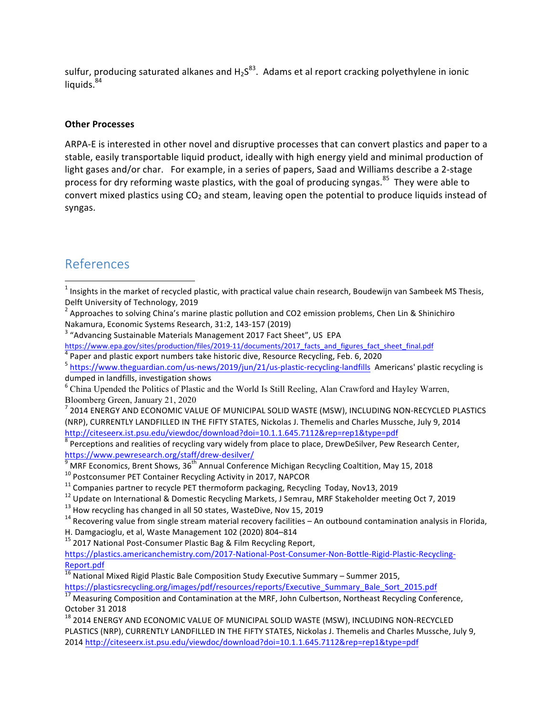sulfur, producing saturated alkanes and  $H_2S^{83}$ . Adams et al report cracking polyethylene in ionic liquids.<sup>84</sup>

#### **Other Processes**

ARPA-E is interested in other novel and disruptive processes that can convert plastics and paper to a stable, easily transportable liquid product, ideally with high energy yield and minimal production of light gases and/or char. For example, in a series of papers, Saad and Williams describe a 2-stage process for dry reforming waste plastics, with the goal of producing syngas.<sup>85</sup> They were able to convert mixed plastics using  $CO<sub>2</sub>$  and steam, leaving open the potential to produce liquids instead of syngas.

### References

<u> 1989 - Jan Samuel Barbara, margaret e</u>

https://www.pewresearch.org/staff/drew-desilver/<br>
<sup>9</sup> MRF Economics, Brent Shows, 36<sup>th</sup> Annual Conference Michigan Recycling Coaltition, May 15, 2018<br>
<sup>10</sup> Postconsumer PET Container Recycling Activity in 2017, NAPCOR<br>
<sup></sup>

 $15$  2017 National Post-Consumer Plastic Bag & Film Recycling Report,

https://plastics.americanchemistry.com/2017-National-Post-Consumer-Non-Bottle-Rigid-Plastic-Recycling-Report.pdf

16 National Mixed Rigid Plastic Bale Composition Study Executive Summary – Summer 2015,<br>https://plasticsrecycling.org/images/pdf/resources/reports/Executive Summary Bale Sort 2015.pdf

 $\frac{17}{17}$  Measuring Composition and Contamination at the MRF, John Culbertson, Northeast Recycling Conference, October 31 2018

 $^{18}$  2014 ENERGY AND ECONOMIC VALUE OF MUNICIPAL SOLID WASTE (MSW), INCLUDING NON-RECYCLED PLASTICS (NRP), CURRENTLY LANDFILLED IN THE FIFTY STATES, Nickolas J. Themelis and Charles Mussche, July 9, 2014 http://citeseerx.ist.psu.edu/viewdoc/download?doi=10.1.1.645.7112&rep=rep1&type=pdf

 $1$  Insights in the market of recycled plastic, with practical value chain research, Boudewijn van Sambeek MS Thesis,

Delft University of Technology, 2019<br><sup>2</sup> Approaches to solving China's marine plastic pollution and CO2 emission problems, Chen Lin & Shinichiro

Nakamura, Economic Systems Research, 31:2, 143-157 (2019)<br><sup>3</sup> "Advancing Sustainable Materials Management 2017 Fact Sheet", US EPA<br>https://www.epa.gov/sites/production/files/2019-11/documents/2017\_facts\_and\_figures fact sh

<sup>&</sup>lt;sup>4</sup> Paper and plastic export numbers take historic dive, Resource Recycling, Feb. 6, 2020<br><sup>5</sup> https://www.theguardian.com/us-news/2019/jun/21/us-plastic-recycling-landfills Americans' plastic recycling is dumped in landfills, investigation shows<br>
<sup>6</sup> China Upended the Politics of Plastic and the World Is Still Reeling, Alan Crawford and Hayley Warren,

Bloomberg Green, January 21, 2020<br><sup>7</sup> 2014 ENERGY AND ECONOMIC VALUE OF MUNICIPAL SOLID WASTE (MSW), INCLUDING NON-RECYCLED PLASTICS

<sup>(</sup>NRP), CURRENTLY LANDFILLED IN THE FIFTY STATES, Nickolas J. Themelis and Charles Mussche, July 9, 2014

http://citeseerx.ist.psu.edu/viewdoc/download?doi=10.1.1.645.7112&rep=rep1&type=pdf<br>
<sup>8</sup> Perceptions and realities of recycling vary widely from place to place, DrewDeSilver, Pew Research Center,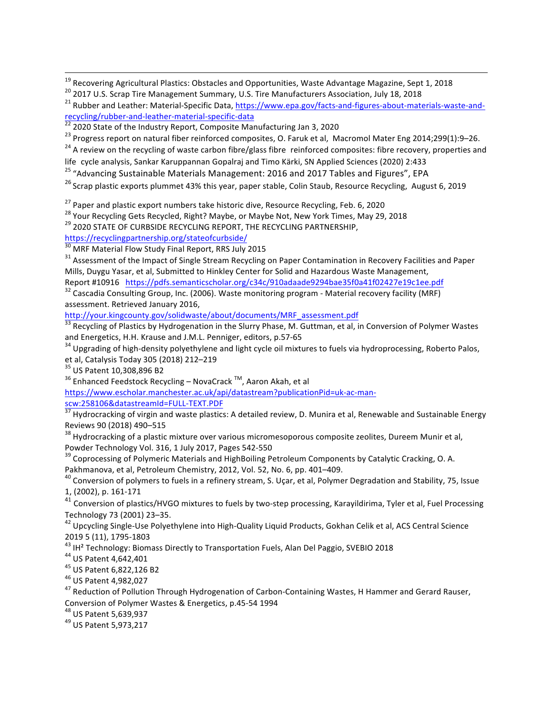<sup>19</sup> Recovering Agricultural Plastics: Obstacles and Opportunities, Waste Advantage Magazine, Sept 1, 2018<br><sup>20</sup> 2017 U.S. Scrap Tire Management Summary, U.S. Tire Manufacturers Association, July 18, 2018<br><sup>21</sup> Rubber and Le recycling/rubber-and-leather-material-specific-data<br><sup>22</sup> 2020 State of the Industry Report, Composite Manufacturing Jan 3, 2020<br><sup>23</sup> Progress report on natural fiber reinforced composites, O. Faruk et al, Macromol Mater En

<u> 1989 - Andrea Santa Andrea Andrea Andrea Andrea Andrea Andrea Andrea Andrea Andrea Andrea Andrea Andrea Andr</u>

 $24$  A review on the recycling of waste carbon fibre/glass fibre reinforced composites: fibre recovery, properties and

life cycle analysis, Sankar Karuppannan Gopalraj and Timo Kärki, SN Applied Sciences (2020) 2:433

<sup>25</sup> "Advancing Sustainable Materials Management: 2016 and 2017 Tables and Figures", EPA

<sup>26</sup> Scrap plastic exports plummet 43% this year, paper stable, Colin Staub, Resource Recycling, August 6, 2019

<sup>27</sup> Paper and plastic export numbers take historic dive, Resource Recycling, Feb. 6, 2020<br><sup>28</sup> Your Recycling Gets Recycled, Right? Maybe, or Maybe Not, New York Times, May 29, 2018<br><sup>29</sup> 2020 STATE OF CURBSIDE RECYCLING R

https://recyclingpartnership.org/stateofcurbside/<br><sup>30</sup> MRF Material Flow Study Final Report, RRS July 2015

 $31$  Assessment of the Impact of Single Stream Recycling on Paper Contamination in Recovery Facilities and Paper Mills, Duygu Yasar, et al, Submitted to Hinkley Center for Solid and Hazardous Waste Management,

Report #10916 https://pdfs.semanticscholar.org/c34c/910adaade9294bae35f0a41f02427e19c1ee.pdf 32<br>
<sup>32</sup> Cascadia Consulting Group, Inc. (2006). Waste monitoring program - Material recovery facility (MRF)

assessment. Retrieved January 2016,

http://your.kingcounty.gov/solidwaste/about/documents/MRF\_assessment.pdf

 $33$  Recycling of Plastics by Hydrogenation in the Slurry Phase, M. Guttman, et al, in Conversion of Polymer Wastes and Energetics, H.H. Krause and J.M.L. Penniger, editors, p.57-65

<sup>34</sup> Upgrading of high-density polyethylene and light cycle oil mixtures to fuels via hydroprocessing, Roberto Palos, et al, Catalysis Today 305 (2018) 212–219<br><sup>35</sup> US Patent 10,308,896 B2<br><sup>36</sup> Enhanced Feedstock Recycling – NovaCrack<sup>TM</sup>, Aaron Akah, et al

https://www.escholar.manchester.ac.uk/api/datastream?publicationPid=uk-ac-man-

scw:258106&datastreamId=FULL-TEXT.PDF<br><sup>37</sup> Hydrocracking of virgin and waste plastics: A detailed review, D. Munira et al. Renewable and Sustainable Energy Reviews 90 (2018) 490–515<br><sup>38</sup> Hydrocracking of a plastic mixture over various micromesoporous composite zeolites, Dureem Munir et al,

Powder Technology Vol. 316, 1 July 2017, Pages 542-550<br><sup>39</sup> Coprocessing of Polymeric Materials and HighBoiling Petroleum Components by Catalytic Cracking, O. A.<br>Pakhmanova, et al, Petroleum Chemistry, 2012, Vol. 52, No. 6

AO Conversion of polymers to fuels in a refinery stream, S. Uçar, et al, Polymer Degradation and Stability, 75, Issue 1, (2002), p. 161-171

 $41$  Conversion of plastics/HVGO mixtures to fuels by two-step processing, Karayildirima, Tyler et al, Fuel Processing Technology 73 (2001) 23–35.<br><sup>42</sup> Upcycling Single-Use Polyethylene into High-Quality Liquid Products, Gokhan Celik et al, ACS Central Science

2019 5 (11), 1795-1803<br><sup>43</sup> IH<sup>2</sup> Technology: Biomass Directly to Transportation Fuels, Alan Del Paggio, SVEBIO 2018<br><sup>44</sup> US Patent 4,642,401<br><sup>45</sup> US Patent 6,822,126 B2<br><sup>45</sup> US Patent 4,982,027<br><sup>47</sup> Reduction of Pollution

Conversion of Polymer Wastes & Energetics, p.45-54 1994<br><sup>48</sup> US Patent 5,639,937<br><sup>49</sup> US Patent 5.973.217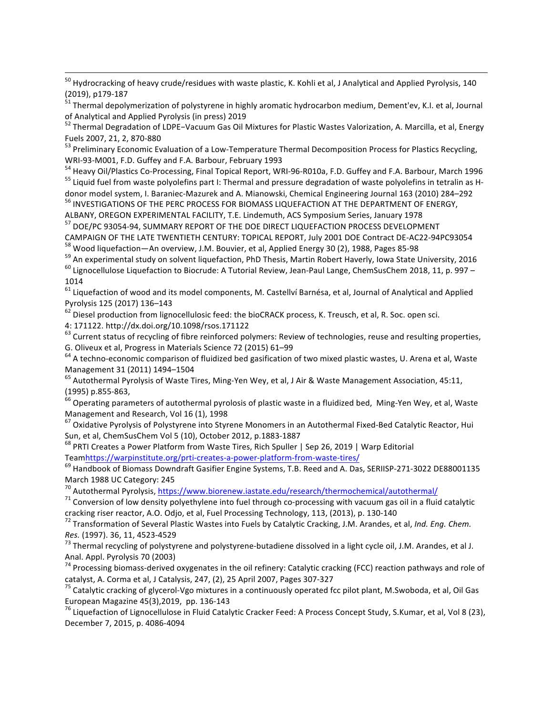$^{50}$  Hydrocracking of heavy crude/residues with waste plastic, K. Kohli et al, J Analytical and Applied Pyrolysis, 140 (2019), p179-187<br><sup>51</sup> Thermal depolymerization of polystyrene in highly aromatic hydrocarbon medium, Dement'ev, K.I. et al, Journal

<u> 1989 - Andrea Santa Andrea Andrea Andrea Andrea Andrea Andrea Andrea Andrea Andrea Andrea Andrea Andrea Andr</u>

of Analytical and Applied Pyrolysis (in press) 2019<br><sup>52</sup> Thermal Degradation of LDPE−Vacuum Gas Oil Mixtures for Plastic Wastes Valorization, A. Marcilla, et al, Energy

Fuels 2007, 21, 2, 870-880<br><sup>53</sup> Preliminary Economic Evaluation of a Low-Temperature Thermal Decomposition Process for Plastics Recycling,

WRI-93-M001, F.D. Guffey and F.A. Barbour, February 1993<br><sup>54</sup> Heavy Oil/Plastics Co-Processing, Final Topical Report, WRI-96-R010a, F.D. Guffey and F.A. Barbour, March 1996<br><sup>55</sup> Liquid fuel from waste polyolefins part I: T

donor model system, I. Baraniec-Mazurek and A. Mianowski, Chemical Engineering Journal 163 (2010) 284–292 56 INVESTIGATIONS OF THE PERC PROCESS FOR BIOMASS LIQUEFACTION AT THE DEPARTMENT OF ENERGY,

ALBANY, OREGON EXPERIMENTAL FACILITY, T.E. Lindemuth, ACS Symposium Series, January 1978

<sup>57</sup> DOE/PC 93054-94, SUMMARY REPORT OF THE DOE DIRECT LIQUEFACTION PROCESS DEVELOPMENT<br>CAMPAIGN OF THE LATE TWENTIETH CENTURY: TOPICAL REPORT, July 2001 DOE Contract DE-AC22-94PC93054

<sup>58</sup> Wood liquefaction—An overview, J.M. Bouvier, et al, Applied Energy 30 (2), 1988, Pages 85-98<br><sup>59</sup> An experimental study on solvent liquefaction, PhD Thesis, Martin Robert Haverly, Iowa State University, 2016<br><sup>60</sup> Lig

1014

 $61$  Liquefaction of wood and its model components, M. Castellví Barnésa, et al, Journal of Analytical and Applied Pyrolysis 125 (2017) 136–143<br><sup>62</sup> Diesel production from lignocellulosic feed: the bioCRACK process, K. Treusch, et al. R. Soc. open sci.

4: 171122. http://dx.doi.org/10.1098/rsos.171122<br><sup>63</sup> Current status of recycling of fibre reinforced polymers: Review of technologies, reuse and resulting properties,<br>G. Oliveux et al, Progress in Materials Science 72 (20

G4 A techno-economic comparison of fluidized bed gasification of two mixed plastic wastes, U. Arena et al, Waste Management 31 (2011) 1494–1504<br><sup>65</sup> Autothermal Pyrolysis of Waste Tires, Ming-Yen Wey, et al, J Air & Waste Management Association, 45:11,

(1995) p.855-863,<br><sup>66</sup> Operating parameters of autothermal pyrolosis of plastic waste in a fluidized bed, Ming-Yen Wey, et al, Waste<br>Management and Research, Vol 16 (1), 1998

 $^{67}$  Oxidative Pyrolysis of Polystyrene into Styrene Monomers in an Autothermal Fixed-Bed Catalytic Reactor, Hui

Sun, et al, ChemSusChem Vol 5 (10), October 2012, p.1883-1887<br><sup>68</sup> PRTI Creates a Power Platform from Waste Tires, Rich Spuller | Sep 26, 2019 | Warp Editorial Teamhttps://warpinstitute.org/prti-creates-a-power-platform-fr

 $<sup>69</sup>$  Handbook of Biomass Downdraft Gasifier Engine Systems. T.B. Reed and A. Das. SERIISP-271-3022 DE88001135</sup> March 1988 UC Category: 245<br><sup>70</sup> Autothermal Pyrolysis, https://www.biorenew.iastate.edu/research/thermochemical/autothermal/

<sup>71</sup> Conversion of low density polyethylene into fuel through co-processing with vacuum gas oil in a fluid catalytic<br>cracking riser reactor, A.O. Odjo, et al, Fuel Processing Technology, 113, (2013), p. 130-140

<sup>72</sup> Transformation of Several Plastic Wastes into Fuels by Catalytic Cracking, J.M. Arandes, et al, *Ind. Eng. Chem. Res.* (1997). 36, 11, 4523-4529<br><sup>73</sup> Thermal recycling of polystyrene and polystyrene-butadiene dissolved in a light cycle oil, J.M. Arandes, et al J.

Anal. Appl. Pyrolysis 70 (2003)<br><sup>74</sup> Processing biomass-derived oxygenates in the oil refinery: Catalytic cracking (FCC) reaction pathways and role of<br>catalyst, A. Corma et al, J Catalysis, 247, (2), 25 April 2007, Pages 3

<sup>75</sup> Catalytic cracking of glycerol-Vgo mixtures in a continuously operated fcc pilot plant, M.Swoboda, et al, Oil Gas European Magazine 45(3),2019, pp. 136-143<br><sup>76</sup> Liquefaction of Lignocellulose in Fluid Catalytic Cracker Feed: A Process Concept Study, S.Kumar, et al. Vol 8 (23).

December 7, 2015, p. 4086-4094